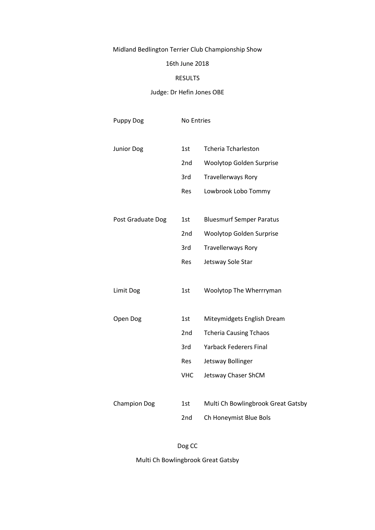# Midland Bedlington Terrier Club Championship Show

### 16th June 2018

#### RESULTS

### Judge: Dr Hefin Jones OBE

| Puppy Dog           | No Entries |                                    |  |
|---------------------|------------|------------------------------------|--|
| <b>Junior Dog</b>   | 1st        | <b>Tcheria Tcharleston</b>         |  |
|                     | 2nd        | Woolytop Golden Surprise           |  |
|                     | 3rd        | <b>Travellerways Rory</b>          |  |
|                     | Res        | Lowbrook Lobo Tommy                |  |
|                     |            |                                    |  |
| Post Graduate Dog   | 1st        | <b>Bluesmurf Semper Paratus</b>    |  |
|                     | 2nd        | Woolytop Golden Surprise           |  |
|                     | 3rd        | <b>Travellerways Rory</b>          |  |
|                     | Res        | Jetsway Sole Star                  |  |
|                     |            |                                    |  |
| Limit Dog           | 1st        | Woolytop The Wherrryman            |  |
|                     |            |                                    |  |
| Open Dog            | 1st        | Miteymidgets English Dream         |  |
|                     | 2nd        | <b>Tcheria Causing Tchaos</b>      |  |
|                     | 3rd        | <b>Yarback Federers Final</b>      |  |
|                     | Res        | Jetsway Bollinger                  |  |
|                     | <b>VHC</b> | Jetsway Chaser ShCM                |  |
|                     |            |                                    |  |
| <b>Champion Dog</b> | 1st        | Multi Ch Bowlingbrook Great Gatsby |  |
|                     | 2nd        | Ch Honeymist Blue Bols             |  |

Dog CC

Multi Ch Bowlingbrook Great Gatsby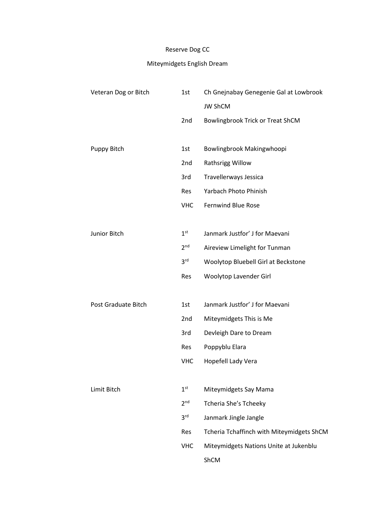# Reserve Dog CC

# Miteymidgets English Dream

| Veteran Dog or Bitch | 1st             | Ch Gnejnabay Genegenie Gal at Lowbrook    |
|----------------------|-----------------|-------------------------------------------|
|                      |                 | <b>JW ShCM</b>                            |
|                      | 2nd             | Bowlingbrook Trick or Treat ShCM          |
|                      |                 |                                           |
| Puppy Bitch          | 1st             | Bowlingbrook Makingwhoopi                 |
|                      | 2nd             | Rathsrigg Willow                          |
|                      | 3rd             | Travellerways Jessica                     |
|                      | Res             | Yarbach Photo Phinish                     |
|                      | <b>VHC</b>      | <b>Fernwind Blue Rose</b>                 |
|                      |                 |                                           |
| Junior Bitch         | 1 <sup>st</sup> | Janmark Justfor' J for Maevani            |
|                      | 2 <sup>nd</sup> | Aireview Limelight for Tunman             |
|                      | 3 <sup>rd</sup> | Woolytop Bluebell Girl at Beckstone       |
|                      | Res             | Woolytop Lavender Girl                    |
|                      |                 |                                           |
| Post Graduate Bitch  | 1st             | Janmark Justfor' J for Maevani            |
|                      | 2nd             | Miteymidgets This is Me                   |
|                      | 3rd             | Devleigh Dare to Dream                    |
|                      | <b>Res</b>      | Poppyblu Elara                            |
|                      | <b>VHC</b>      | Hopefell Lady Vera                        |
|                      |                 |                                           |
| Limit Bitch          | 1 <sup>st</sup> | Miteymidgets Say Mama                     |
|                      | 2 <sup>nd</sup> | Tcheria She's Tcheeky                     |
|                      | 3 <sup>rd</sup> | Janmark Jingle Jangle                     |
|                      | Res             | Tcheria Tchaffinch with Miteymidgets ShCM |
|                      | <b>VHC</b>      | Miteymidgets Nations Unite at Jukenblu    |
|                      |                 | ShCM                                      |
|                      |                 |                                           |